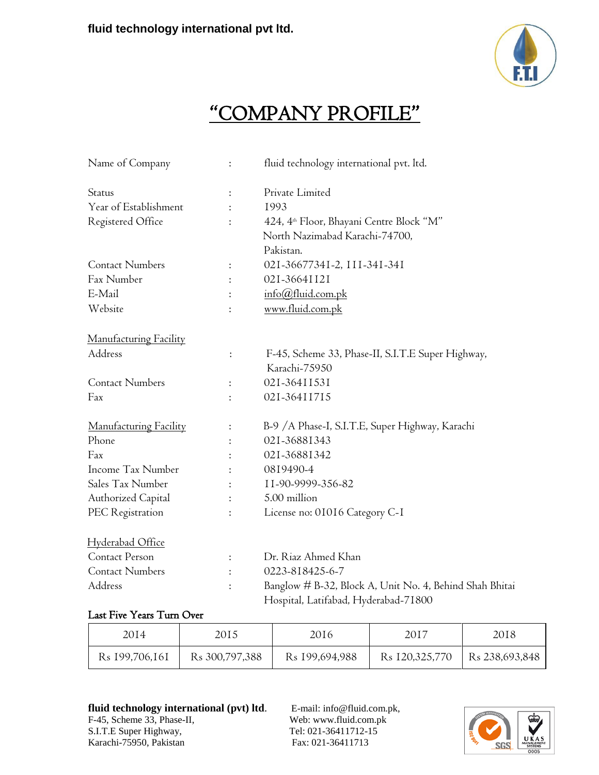

### "COMPANY PROFILE"

| Name of Company               | $\ddot{\cdot}$ | fluid technology international pvt. ltd.                           |  |
|-------------------------------|----------------|--------------------------------------------------------------------|--|
| Status                        | $\ddot{\cdot}$ | Private Limited                                                    |  |
| Year of Establishment         | $\ddot{\cdot}$ | 1993                                                               |  |
| Registered Office             | $\ddot{\cdot}$ | 424, 4 <sup>th</sup> Floor, Bhayani Centre Block "M"               |  |
|                               |                | North Nazimabad Karachi-74700,                                     |  |
|                               |                | Pakistan.                                                          |  |
| <b>Contact Numbers</b>        | $\ddot{\cdot}$ | 021-36677341-2, III-341-341                                        |  |
| Fax Number                    | $\ddot{\cdot}$ | 021-36641121                                                       |  |
| E-Mail                        | $\ddot{\cdot}$ | info@fluid.com.pk                                                  |  |
| Website                       | $\ddot{\cdot}$ | www.fluid.com.pk                                                   |  |
| <u>Manufacturing Facility</u> |                |                                                                    |  |
| Address                       | $\ddot{\cdot}$ | F-45, Scheme 33, Phase-II, S.I.T.E Super Highway,<br>Karachi-75950 |  |
| <b>Contact Numbers</b>        | $\ddot{\cdot}$ | 021-36411531                                                       |  |
| Fax                           | $\ddot{\cdot}$ | 021-36411715                                                       |  |
| Manufacturing Facility        | $\ddot{\cdot}$ | B-9 / A Phase-I, S.I.T.E, Super Highway, Karachi                   |  |
| Phone                         |                | 021-36881343                                                       |  |
| Fax                           |                | 021-36881342                                                       |  |
| Income Tax Number             |                | 0819490-4                                                          |  |
| Sales Tax Number              |                | 11-90-9999-356-82                                                  |  |
| Authorized Capital            | $\ddot{\cdot}$ | 5.00 million                                                       |  |
| PEC Registration              | $\ddot{\cdot}$ | License no: 01016 Category C-1                                     |  |
| <u>Hyderabad Office</u>       |                |                                                                    |  |
| Contact Person                | $\ddot{\cdot}$ | Dr. Riaz Ahmed Khan                                                |  |
| <b>Contact Numbers</b>        | $\ddot{\cdot}$ | 0223-818425-6-7                                                    |  |
| Address                       | $\ddot{\cdot}$ | Banglow # B-32, Block A, Unit No. 4, Behind Shah Bhitai            |  |
|                               |                | Hospital, Latifabad, Hyderabad-71800                               |  |

### Last Five Years Turn Over

| 2014                       | 2015                       | 2016                       | 2017                       | 2018                       |
|----------------------------|----------------------------|----------------------------|----------------------------|----------------------------|
| R <sub>s</sub> 199,706,161 | R <sub>s</sub> 300,797,388 | R <sub>s</sub> 199,694,988 | R <sub>s</sub> 120,325,770 | R <sub>s</sub> 238,693,848 |

### fluid technology international (pvt) ltd. E-mail: [info@fluid.com.pk,](mailto:info@fluid.com.pk)

F-45, Scheme 33, Phase-II, Web: www.fluid.com.pk S.I.T.E Super Highway,<br>
Karachi-75950, Pakistan<br>
Tel: 021-36411712-15<br>
Fax: 021-36411713 Karachi-75950, Pakistan

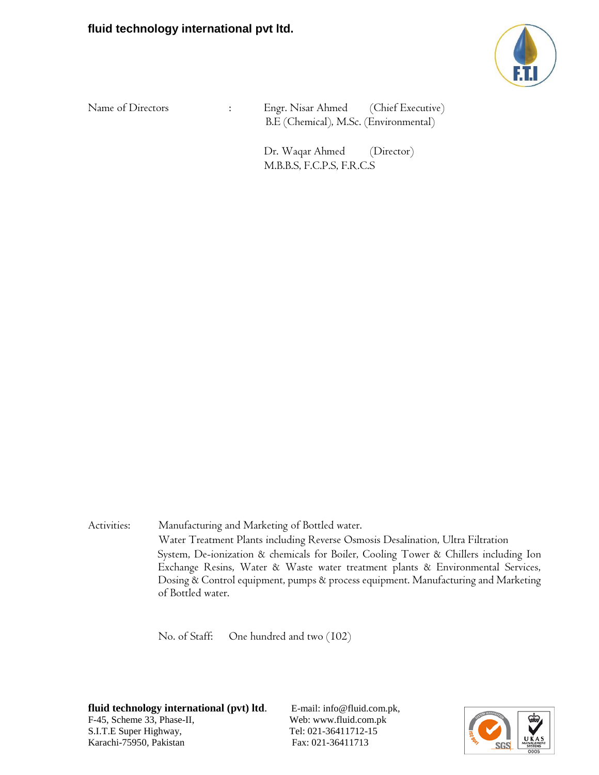

Name of Directors : Engr. Nisar Ahmed (Chief Executive) B.E (Chemical), M.Sc. (Environmental)

> Dr. Waqar Ahmed (Director) M.B.B.S, F.C.P.S, F.R.C.S

Activities: Manufacturing and Marketing of Bottled water. Water Treatment Plants including Reverse Osmosis Desalination, Ultra Filtration System, De-ionization & chemicals for Boiler, Cooling Tower & Chillers including Ion Exchange Resins, Water & Waste water treatment plants & Environmental Services, Dosing & Control equipment, pumps & process equipment. Manufacturing and Marketing of Bottled water.

No. of Staff: One hundred and two (102)

**fluid technology international (pvt) ltd.** E-mail: [info@fluid.com.pk,](mailto:info@fluid.com.pk) F-45, Scheme 33, Phase-II, Web: www.fluid.com.pk S.I.T.E Super Highway, Tel: 021-36411712-15 Karachi-75950, Pakistan Fax: 021-36411713

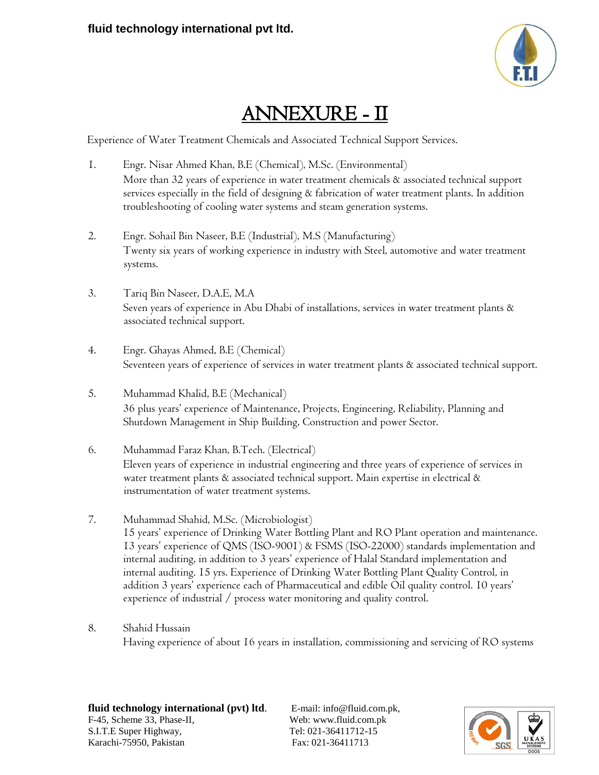

# ANNEXURE - II

Experience of Water Treatment Chemicals and Associated Technical Support Services.

- 1. Engr. Nisar Ahmed Khan, B.E (Chemical), M.Sc. (Environmental) More than 32 years of experience in water treatment chemicals & associated technical support services especially in the field of designing & fabrication of water treatment plants. In addition troubleshooting of cooling water systems and steam generation systems.
- 2. Engr. Sohail Bin Naseer, B.E (Industrial), M.S (Manufacturing) Twenty six years of working experience in industry with Steel, automotive and water treatment systems.
- 3. Tariq Bin Naseer, D.A.E, M.A Seven years of experience in Abu Dhabi of installations, services in water treatment plants & associated technical support.
- 4. Engr. Ghayas Ahmed, B.E (Chemical) Seventeen years of experience of services in water treatment plants & associated technical support.
- 5. Muhammad Khalid, B.E (Mechanical) 36 plus years' experience of Maintenance, Projects, Engineering, Reliability, Planning and Shutdown Management in Ship Building, Construction and power Sector.
- 6. Muhammad Faraz Khan, B.Tech. (Electrical) Eleven years of experience in industrial engineering and three years of experience of services in water treatment plants & associated technical support. Main expertise in electrical & instrumentation of water treatment systems.
- 7. Muhammad Shahid, M.Sc. (Microbiologist) 15 years' experience of Drinking Water Bottling Plant and RO Plant operation and maintenance. 13 years' experience of QMS (ISO-9001) & FSMS (ISO-22000) standards implementation and internal auditing, in addition to 3 years' experience of Halal Standard implementation and internal auditing. 15 yrs. Experience of Drinking Water Bottling Plant Quality Control, in addition 3 years' experience each of Pharmaceutical and edible Oil quality control. 10 years' experience of industrial / process water monitoring and quality control.
- 8. Shahid Hussain

Having experience of about 16 years in installation, commissioning and servicing of RO systems

**fluid technology international (pvt) ltd.** E-mail: [info@fluid.com.pk,](mailto:info@fluid.com.pk) F-45, Scheme 33, Phase-II, Web: www.fluid.com.pk S.I.T.E Super Highway, Tel: 021-36411712-15 Karachi-75950, Pakistan Fax: 021-36411713

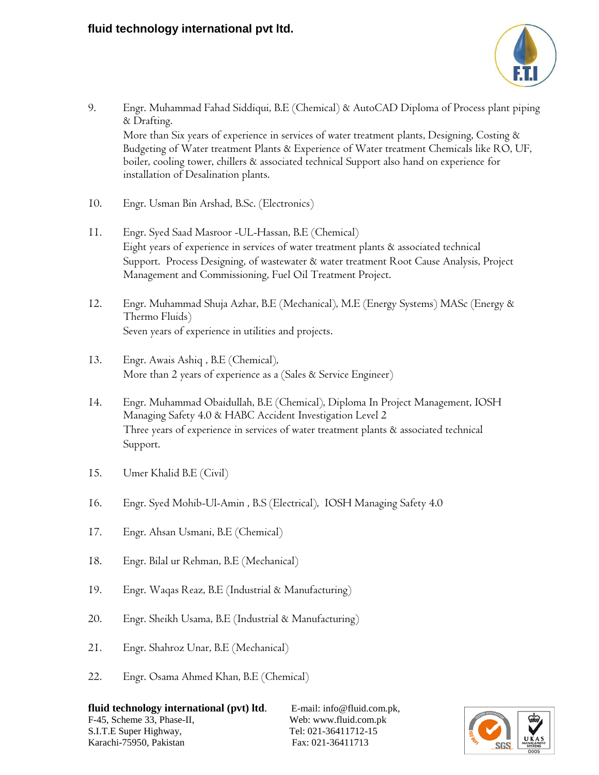

- 9. Engr. Muhammad Fahad Siddiqui, B.E (Chemical) & AutoCAD Diploma of Process plant piping & Drafting. More than Six years of experience in services of water treatment plants, Designing, Costing & Budgeting of Water treatment Plants & Experience of Water treatment Chemicals like RO, UF, boiler, cooling tower, chillers & associated technical Support also hand on experience for installation of Desalination plants.
- 10. Engr. Usman Bin Arshad, B.Sc. (Electronics)
- 11. Engr. Syed Saad Masroor -UL-Hassan, B.E (Chemical) Eight years of experience in services of water treatment plants & associated technical Support. Process Designing, of wastewater & water treatment Root Cause Analysis, Project Management and Commissioning, Fuel Oil Treatment Project.
- 12. Engr. Muhammad Shuja Azhar, B.E (Mechanical), M.E (Energy Systems) MASc (Energy & Thermo Fluids) Seven years of experience in utilities and projects.
- 13. Engr. Awais Ashiq , B.E (Chemical), More than 2 years of experience as a (Sales & Service Engineer)
- 14. Engr. Muhammad Obaidullah, B.E (Chemical), Diploma In Project Management, IOSH Managing Safety 4.0 & HABC Accident Investigation Level 2 Three years of experience in services of water treatment plants & associated technical Support.
- 15. Umer Khalid B.E (Civil)
- 16. Engr. Syed Mohib-Ul-Amin , B.S (Electrical), IOSH Managing Safety 4.0
- 17. Engr. Ahsan Usmani, B.E (Chemical)
- 18. Engr. Bilal ur Rehman, B.E (Mechanical)
- 19. Engr. Waqas Reaz, B.E (Industrial & Manufacturing)
- 20. Engr. Sheikh Usama, B.E (Industrial & Manufacturing)
- 21. Engr. Shahroz Unar, B.E (Mechanical)
- 22. Engr. Osama Ahmed Khan, B.E (Chemical)

**fluid technology international (pvt) ltd.** E-mail: [info@fluid.com.pk,](mailto:info@fluid.com.pk) F-45, Scheme 33, Phase-II, Web: www.fluid.com.pk S.I.T.E Super Highway, Tel: 021-36411712-15 Karachi-75950, Pakistan Fax: 021-36411713

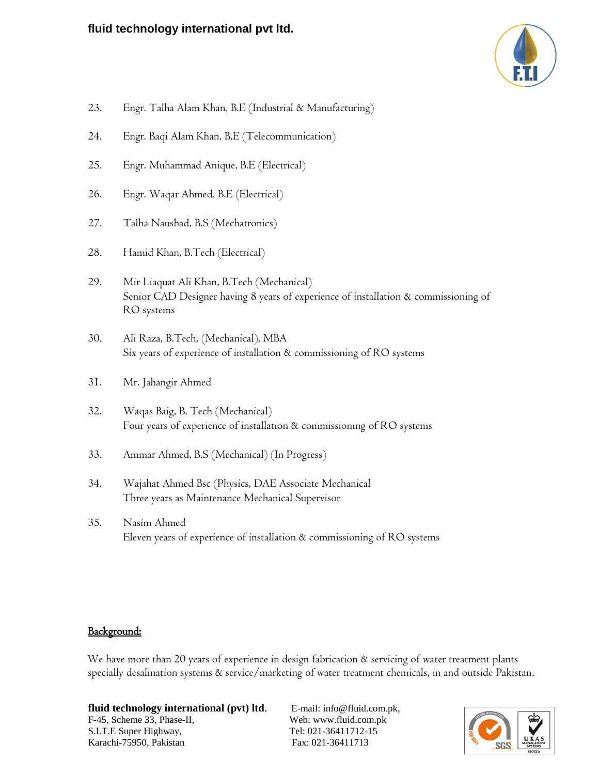

- 23. Engr. Talha Alam Khan, B.E (Industrial & Manufacturing)
- 24. Engr. Baqi Alam Khan, B.E (Telecommunication)
- 25. Engr. Muhammad Anique, B.E (Electrical)
- 26. Engr. Waqar Ahmed, B.E (Electrical)
- 27. Talha Naushad, B.S (Mechatronics)
- 28. Hamid Khan, B.Tech (Electrical)
- 29. Mir Liaquat Ali Khan, B.Tech (Mechanical) Senior CAD Designer having 8 years of experience of installation & commissioning of RO systems
- 30. Ali Raza, B.Tech, (Mechanical), MBA Six years of experience of installation & commissioning of RO systems
- 31. Mr. Jahangir Ahmed
- 32. Waqas Baig, B. Tech (Mechanical) Four years of experience of installation & commissioning of RO systems
- 33. Ammar Ahmed, B.S (Mechanical) (In Progress)
- 34. Wajahat Ahmed Bsc (Physics, DAE Associate Mechanical Three years as Maintenance Mechanical Supervisor
- 35. Nasim Ahmed Eleven years of experience of installation & commissioning of RO systems

#### Background:

We have more than 20 years of experience in design fabrication & servicing of water treatment plants specially desalination systems & service/marketing of water treatment chemicals, in and outside Pakistan.

fluid technology international (pvt) ltd. E-mail: [info@fluid.com.pk,](mailto:info@fluid.com.pk) F-45, Scheme 33, Phase-II, Web: www.fluid.com.pk S.I.T.E Super Highway, Tel: 021-36411712-15 Karachi-75950, Pakistan Fax: 021-36411713

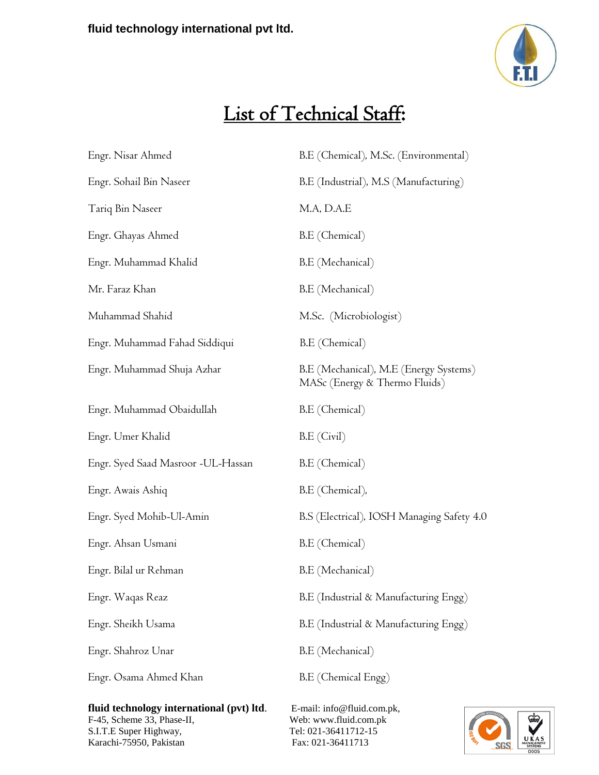

# List of Technical Staff:

| Engr. Nisar Ahmed                  | B.E (Chemical), M.Sc. (Environmental)                                   |  |
|------------------------------------|-------------------------------------------------------------------------|--|
| Engr. Sohail Bin Naseer            | B.E (Industrial), M.S (Manufacturing)                                   |  |
| Tariq Bin Naseer                   | M.A, D.A.E                                                              |  |
| Engr. Ghayas Ahmed                 | B.E (Chemical)                                                          |  |
| Engr. Muhammad Khalid              | B.E (Mechanical)                                                        |  |
| Mr. Faraz Khan                     | B.E (Mechanical)                                                        |  |
| Muhammad Shahid                    | M.Sc. (Microbiologist)                                                  |  |
| Engr. Muhammad Fahad Siddiqui      | B.E (Chemical)                                                          |  |
| Engr. Muhammad Shuja Azhar         | B.E (Mechanical), M.E (Energy Systems)<br>MASc (Energy & Thermo Fluids) |  |
| Engr. Muhammad Obaidullah          | B.E (Chemical)                                                          |  |
| Engr. Umer Khalid                  | B.E (Civil)                                                             |  |
| Engr. Syed Saad Masroor -UL-Hassan | B.E (Chemical)                                                          |  |
| Engr. Awais Ashiq                  | B.E (Chemical),                                                         |  |
| Engr. Syed Mohib-Ul-Amin           | B.S (Electrical), IOSH Managing Safety 4.0                              |  |
| Engr. Ahsan Usmani                 | B.E (Chemical)                                                          |  |
| Engr. Bilal ur Rehman              | B.E (Mechanical)                                                        |  |
| Engr. Waqas Reaz                   | B.E (Industrial & Manufacturing Engg)                                   |  |
| Engr. Sheikh Usama                 | B.E (Industrial & Manufacturing Engg)                                   |  |
| Engr. Shahroz Unar                 | B.E (Mechanical)                                                        |  |
| Engr. Osama Ahmed Khan             | B.E (Chemical Engg)                                                     |  |
|                                    |                                                                         |  |

fluid technology international (pvt) ltd. E-mail: [info@fluid.com.pk,](mailto:info@fluid.com.pk) F-45, Scheme 33, Phase-II, Web: [www.fluid.com.pk](http://www.fluid.com.pk/)  S.I.T.E Super Highway,<br>
Karachi-75950, Pakistan<br>
Tel: 021-36411712-15<br>
Fax: 021-36411713 Karachi-75950, Pakistan

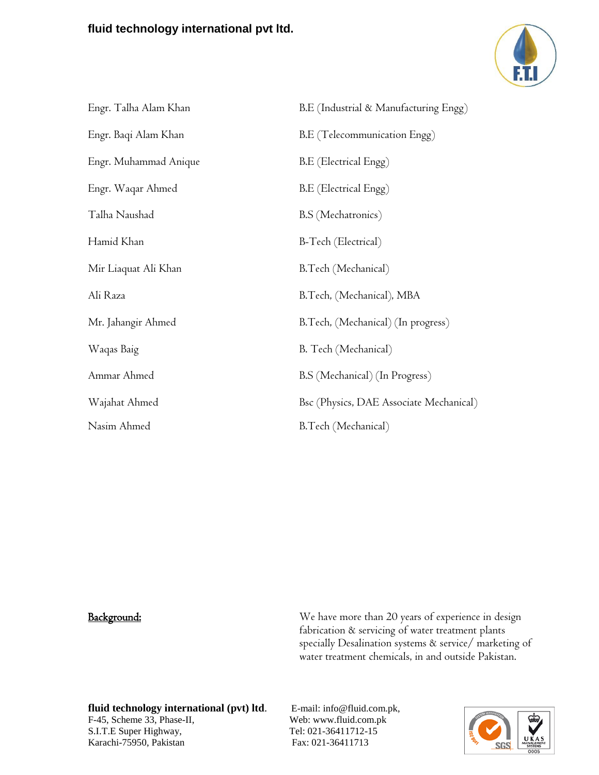

| Engr. Talha Alam Khan | B.E (Industrial & Manufacturing Engg)   |
|-----------------------|-----------------------------------------|
| Engr. Baqi Alam Khan  | B.E (Telecommunication Engg)            |
| Engr. Muhammad Anique | B.E (Electrical Engg)                   |
| Engr. Waqar Ahmed     | B.E (Electrical Engg)                   |
| Talha Naushad         | B.S (Mechatronics)                      |
| Hamid Khan            | B-Tech (Electrical)                     |
| Mir Liaquat Ali Khan  | B.Tech (Mechanical)                     |
| Ali Raza              | B.Tech, (Mechanical), MBA               |
| Mr. Jahangir Ahmed    | B.Tech, (Mechanical) (In progress)      |
| Waqas Baig            | B. Tech (Mechanical)                    |
| Ammar Ahmed           | B.S (Mechanical) (In Progress)          |
| Wajahat Ahmed         | Bsc (Physics, DAE Associate Mechanical) |
| Nasim Ahmed           | B.Tech (Mechanical)                     |

Background: We have more than 20 years of experience in design fabrication & servicing of water treatment plants specially Desalination systems & service/ marketing of water treatment chemicals, in and outside Pakistan.

#### **fluid technology international (pvt) ltd**. E-mail: [info@fluid.com.pk,](mailto:info@fluid.com.pk) F-45, Scheme 33, Phase-II, Web: www.fluid.com.pk S.I.T.E Super Highway,<br>
Karachi-75950, Pakistan<br>
Tel: 021-36411712-15<br>
Fax: 021-36411713 Karachi-75950, Pakistan

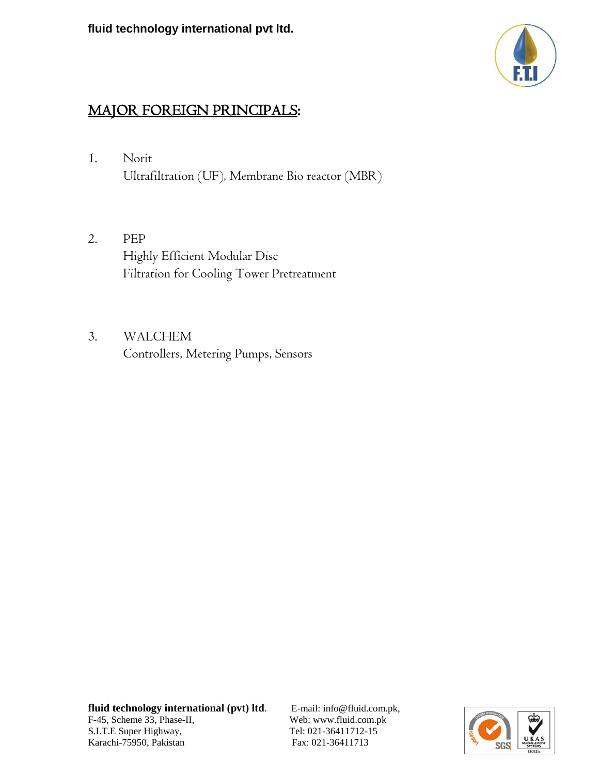

### MAJOR FOREIGN PRINCIPALS:

- 1. Norit Ultrafiltration (UF), Membrane Bio reactor (MBR)
- 2. PEP Highly Efficient Modular Disc Filtration for Cooling Tower Pretreatment
- 3. WALCHEM Controllers, Metering Pumps, Sensors

**fluid technology international (pvt) ltd**. E-mail: [info@fluid.com.pk,](mailto:info@fluid.com.pk) F-45, Scheme 33, Phase-II, Web: www.fluid.com.pk S.I.T.E Super Highway,<br>
Karachi-75950, Pakistan<br>
Tel: 021-36411712-15<br>
Fax: 021-36411713 Karachi-75950, Pakistan